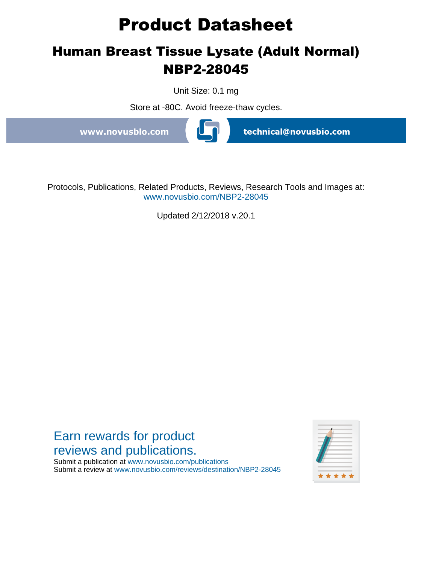# **Product Datasheet**

## **Human Breast Tissue Lysate (Adult Normal) NBP2-28045**

Unit Size: 0.1 mg

Store at -80C. Avoid freeze-thaw cycles.

www.novusbio.com



technical@novusbio.com

Protocols, Publications, Related Products, Reviews, Research Tools and Images at: www.novusbio.com/NBP2-28045

Updated 2/12/2018 v.20.1

## Earn rewards for product reviews and publications.

Submit a publication at www.novusbio.com/publications Submit a review at www.novusbio.com/reviews/destination/NBP2-28045

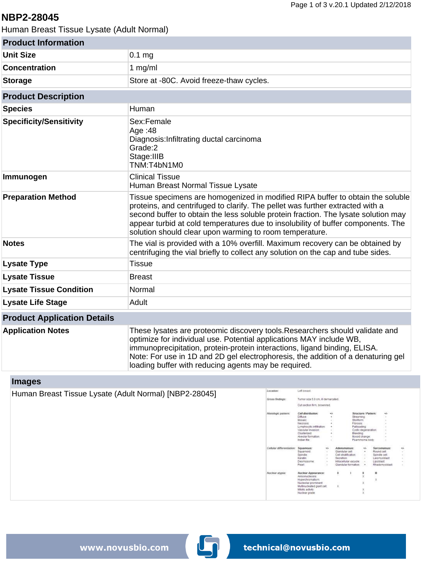## **NBP2-28045**

Human Breast Tissue Lysate (Adult Normal)

| <b>Product Information</b>         |                                                                                                                                                                                                                                                                                                                                                                                                      |
|------------------------------------|------------------------------------------------------------------------------------------------------------------------------------------------------------------------------------------------------------------------------------------------------------------------------------------------------------------------------------------------------------------------------------------------------|
| <b>Unit Size</b>                   | $0.1$ mg                                                                                                                                                                                                                                                                                                                                                                                             |
| <b>Concentration</b>               | 1 $mg/ml$                                                                                                                                                                                                                                                                                                                                                                                            |
| <b>Storage</b>                     | Store at -80C. Avoid freeze-thaw cycles.                                                                                                                                                                                                                                                                                                                                                             |
| <b>Product Description</b>         |                                                                                                                                                                                                                                                                                                                                                                                                      |
| <b>Species</b>                     | Human                                                                                                                                                                                                                                                                                                                                                                                                |
| <b>Specificity/Sensitivity</b>     | Sex:Female<br>Age: 48<br>Diagnosis: Infiltrating ductal carcinoma<br>Grade:2<br>Stage: IIIB<br>TNM:T4bN1M0                                                                                                                                                                                                                                                                                           |
| Immunogen                          | <b>Clinical Tissue</b><br>Human Breast Normal Tissue Lysate                                                                                                                                                                                                                                                                                                                                          |
| <b>Preparation Method</b>          | Tissue specimens are homogenized in modified RIPA buffer to obtain the soluble<br>proteins, and centrifuged to clarify. The pellet was further extracted with a<br>second buffer to obtain the less soluble protein fraction. The lysate solution may<br>appear turbid at cold temperatures due to insolubility of buffer components. The<br>solution should clear upon warming to room temperature. |
| <b>Notes</b>                       | The vial is provided with a 10% overfill. Maximum recovery can be obtained by<br>centrifuging the vial briefly to collect any solution on the cap and tube sides.                                                                                                                                                                                                                                    |
| <b>Lysate Type</b>                 | <b>Tissue</b>                                                                                                                                                                                                                                                                                                                                                                                        |
| <b>Lysate Tissue</b>               | <b>Breast</b>                                                                                                                                                                                                                                                                                                                                                                                        |
| <b>Lysate Tissue Condition</b>     | Normal                                                                                                                                                                                                                                                                                                                                                                                               |
| <b>Lysate Life Stage</b>           | Adult                                                                                                                                                                                                                                                                                                                                                                                                |
| <b>Product Application Details</b> |                                                                                                                                                                                                                                                                                                                                                                                                      |
| <b>Application Notes</b>           | These lysates are proteomic discovery tools. Researchers should validate and<br>optimize for individual use. Potential applications MAY include WB,<br>immunoprecipitation, protein-protein interactions, ligand binding, ELISA.<br>Note: For use in 1D and 2D gel electrophoresis, the addition of a denaturing gel                                                                                 |

## **Images**

| Human Breast Tissue Lysate (Adult Normal) [NBP2-28045] | Location:                 | Left breast                            |                       |                     |                                                  |                                  |                            |                          |
|--------------------------------------------------------|---------------------------|----------------------------------------|-----------------------|---------------------|--------------------------------------------------|----------------------------------|----------------------------|--------------------------|
|                                                        | Gross findings:           | Tumor size 5.0 cm, ill demarcated.     |                       |                     |                                                  |                                  |                            |                          |
|                                                        |                           | Cut section firm, brownned.            |                       |                     |                                                  |                                  |                            |                          |
|                                                        | Histologic pattern.       | Cell distribution:                     | $+16$                 |                     |                                                  | Structure / Pattern:             | $+1$                       |                          |
|                                                        |                           | Diffuse:                               |                       |                     | Streaming:                                       |                                  | - 4                        |                          |
|                                                        |                           | <b>Mosaic</b><br>Necrosis:             |                       |                     | Storiform:<br>Fibrosis:                          |                                  |                            |                          |
|                                                        |                           | Lymphocytic infiltration:              |                       |                     | Pallisading:                                     |                                  |                            |                          |
|                                                        |                           | Vascular invasion:                     |                       |                     |                                                  | Cystic degeneration:             |                            |                          |
|                                                        |                           | Clusterized:                           |                       |                     | Eleeding:                                        |                                  |                            |                          |
|                                                        |                           | Alveolar formation:<br>Indian file:    | <b>Sec.</b><br>$\sim$ |                     |                                                  | Mixold change:<br>Psammoma body: | $\sim$<br>$\sim$           |                          |
|                                                        | Cellular differentiation: | Squamous:                              | 4/7                   | Adenomatous:        |                                                  | 4/6                              | Sarcomatous:               | ٠ĥ                       |
|                                                        |                           | Squamoid                               |                       | Glandular cell:     |                                                  | ٠                                | Round cell:                |                          |
|                                                        |                           | Spindle:                               | 14                    | Cell stratification |                                                  | 14                               | Spindle cell:              |                          |
|                                                        |                           | Keratn:                                |                       | Secretion:          |                                                  |                                  | Leiomyoblast               |                          |
|                                                        |                           | Desmosome:<br>Peart                    |                       |                     | Intracellular vacuole:<br>Glandular formation: + | $\sim$                           | Lipoblast<br>Rhadomyoblast | <b>Section</b><br>$\sim$ |
|                                                        |                           |                                        |                       |                     |                                                  |                                  |                            |                          |
|                                                        | Nuclear atypis:           | Nuclear Appearance:<br>Anisonucleosis: |                       | $\bf{0}$            |                                                  |                                  | п                          |                          |
|                                                        |                           | Hyperchromatism                        |                       |                     |                                                  |                                  | х                          |                          |
|                                                        |                           | Nucleolar prominent                    |                       |                     |                                                  |                                  |                            |                          |
|                                                        |                           | Multinucleated giant cell:             |                       | $\mathbb{X}$        |                                                  |                                  |                            |                          |
|                                                        |                           | Mitotic activity:<br>Nuclear grade:    |                       |                     |                                                  |                                  |                            |                          |

loading buffer with reducing agents may be required.

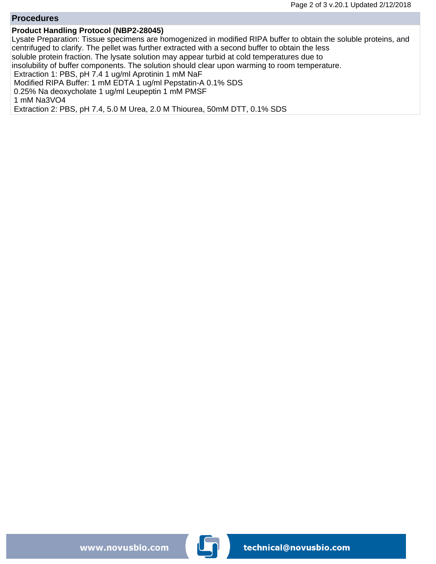#### **Procedures**

#### **Product Handling Protocol (NBP2-28045)**

Lysate Preparation: Tissue specimens are homogenized in modified RIPA buffer to obtain the soluble proteins, and centrifuged to clarify. The pellet was further extracted with a second buffer to obtain the less soluble protein fraction. The lysate solution may appear turbid at cold temperatures due to insolubility of buffer components. The solution should clear upon warming to room temperature. Extraction 1: PBS, pH 7.4 1 ug/ml Aprotinin 1 mM NaF Modified RIPA Buffer: 1 mM EDTA 1 ug/ml Pepstatin-A 0.1% SDS 0.25% Na deoxycholate 1 ug/ml Leupeptin 1 mM PMSF 1 mM Na3VO4 Extraction 2: PBS, pH 7.4, 5.0 M Urea, 2.0 M Thiourea, 50mM DTT, 0.1% SDS

www.novusbio.com